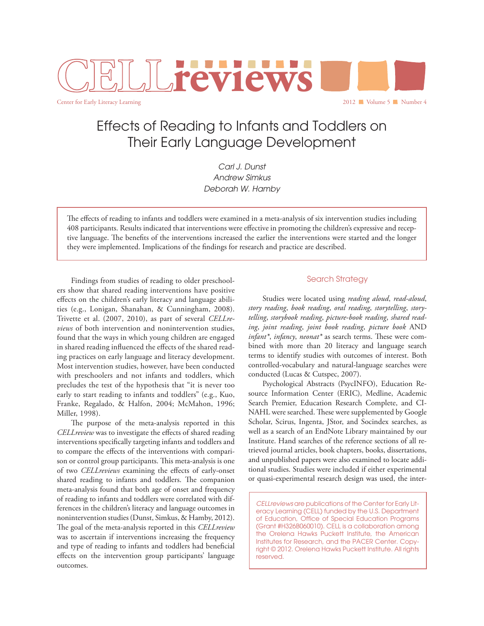

Effects of Reading to Infants and Toddlers on Their Early Language Development

> *Carl J. Dunst Andrew Simkus Deborah W. Hamby*

The effects of reading to infants and toddlers were examined in a meta-analysis of six intervention studies including 408 participants. Results indicated that interventions were effective in promoting the children's expressive and receptive language. The benefits of the interventions increased the earlier the interventions were started and the longer they were implemented. Implications of the findings for research and practice are described.

Findings from studies of reading to older preschoolers show that shared reading interventions have positive effects on the children's early literacy and language abilities (e.g., Lonigan, Shanahan, & Cunningham, 2008). Trivette et al. (2007, 2010), as part of several *CELLreviews* of both intervention and nonintervention studies, found that the ways in which young children are engaged in shared reading influenced the effects of the shared reading practices on early language and literacy development. Most intervention studies, however, have been conducted with preschoolers and not infants and toddlers, which precludes the test of the hypothesis that "it is never too early to start reading to infants and toddlers" (e.g., Kuo, Franke, Regalado, & Halfon, 2004; McMahon, 1996; Miller, 1998).

The purpose of the meta-analysis reported in this *CELLreview* was to investigate the effects of shared reading interventions specifically targeting infants and toddlers and to compare the effects of the interventions with comparison or control group participants. This meta-analysis is one of two *CELLreviews* examining the effects of early-onset shared reading to infants and toddlers. The companion meta-analysis found that both age of onset and frequency of reading to infants and toddlers were correlated with differences in the children's literacy and language outcomes in nonintervention studies (Dunst, Simkus, & Hamby, 2012). The goal of the meta-analysis reported in this *CELLreview* was to ascertain if interventions increasing the frequency and type of reading to infants and toddlers had beneficial effects on the intervention group participants' language outcomes.

## Search Strategy

Studies were located using *reading aloud*, *read-aloud*, *story reading*, *book reading*, *oral reading*, *storytelling*, *storytelling*, *storybook reading*, *picture-book reading*, *shared reading*, *joint reading*, *joint book reading*, *picture book* AND *infant\**, *infancy*, *neonat\** as search terms. These were combined with more than 20 literacy and language search terms to identify studies with outcomes of interest. Both controlled-vocabulary and natural-language searches were conducted (Lucas & Cutspec, 2007).

Psychological Abstracts (PsycINFO), Education Resource Information Center (ERIC), Medline, Academic Search Premier, Education Research Complete, and CI-NAHL were searched. These were supplemented by Google Scholar, Scirus, Ingenta, JStor, and Socindex searches, as well as a search of an EndNote Library maintained by our Institute. Hand searches of the reference sections of all retrieved journal articles, book chapters, books, dissertations, and unpublished papers were also examined to locate additional studies. Studies were included if either experimental or quasi-experimental research design was used, the inter-

*CELLreviews* are publications of the Center for Early Literacy Learning (CELL) funded by the U.S. Department of Education, Office of Special Education Programs (Grant #H326B060010). CELL is a collaboration among the Orelena Hawks Puckett Institute, the American Institutes for Research, and the PACER Center. Copyright © 2012. Orelena Hawks Puckett Institute. All rights reserved.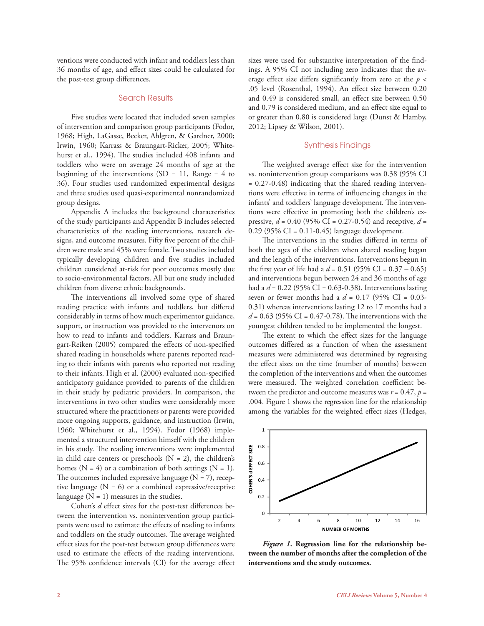ventions were conducted with infant and toddlers less than 36 months of age, and effect sizes could be calculated for the post-test group differences.

### Search Results

Five studies were located that included seven samples of intervention and comparison group participants (Fodor, 1968; High, LaGasse, Becker, Ahlgren, & Gardner, 2000; Irwin, 1960; Karrass & Braungart-Ricker, 2005; Whitehurst et al., 1994). The studies included 408 infants and toddlers who were on average 24 months of age at the beginning of the interventions (SD = 11, Range =  $4$  to 36). Four studies used randomized experimental designs and three studies used quasi-experimental nonrandomized group designs.

Appendix A includes the background characteristics of the study participants and Appendix B includes selected characteristics of the reading interventions, research designs, and outcome measures. Fifty five percent of the children were male and 45% were female. Two studies included typically developing children and five studies included children considered at-risk for poor outcomes mostly due to socio-environmental factors. All but one study included children from diverse ethnic backgrounds.

The interventions all involved some type of shared reading practice with infants and toddlers, but differed considerably in terms of how much experimentor guidance, support, or instruction was provided to the intervenors on how to read to infants and toddlers. Karrass and Braungart-Reiken (2005) compared the effects of non-specified shared reading in households where parents reported reading to their infants with parents who reported not reading to their infants. High et al. (2000) evaluated non-specified anticipatory guidance provided to parents of the children in their study by pediatric providers. In comparison, the interventions in two other studies were considerably more structured where the practitioners or parents were provided more ongoing supports, guidance, and instruction (Irwin, 1960; Whitehurst et al., 1994). Fodor (1968) implemented a structured intervention himself with the children in his study. The reading interventions were implemented in child care centers or preschools  $(N = 2)$ , the children's homes ( $N = 4$ ) or a combination of both settings ( $N = 1$ ). The outcomes included expressive language  $(N = 7)$ , receptive language  $(N = 6)$  or a combined expressive/receptive language  $(N = 1)$  measures in the studies.

Cohen's *d* effect sizes for the post-test differences between the intervention vs. nonintervention group participants were used to estimate the effects of reading to infants and toddlers on the study outcomes. The average weighted effect sizes for the post-test between group differences were used to estimate the effects of the reading interventions. The 95% confidence intervals (CI) for the average effect sizes were used for substantive interpretation of the findings. A 95% CI not including zero indicates that the average effect size differs significantly from zero at the *p* < .05 level (Rosenthal, 1994). An effect size between 0.20 and 0.49 is considered small, an effect size between 0.50 and 0.79 is considered medium, and an effect size equal to or greater than 0.80 is considered large (Dunst & Hamby, 2012; Lipsey & Wilson, 2001).

### Synthesis Findings

The weighted average effect size for the intervention vs. nonintervention group comparisons was 0.38 (95% CI = 0.27-0.48) indicating that the shared reading interventions were effective in terms of influencing changes in the infants' and toddlers' language development. The interventions were effective in promoting both the children's expressive, *d* = 0.40 (95% CI = 0.27-0.54) and receptive, *d* = 0.29 (95% CI = 0.11-0.45) language development.

The interventions in the studies differed in terms of both the ages of the children when shared reading began and the length of the interventions. Interventions begun in the first year of life had a *d* = 0.51 (95% CI = 0.37 – 0.65) and interventions begun between 24 and 36 months of age had a *d* = 0.22 (95% CI = 0.63-0.38). Interventions lasting seven or fewer months had a *d* = 0.17 (95% CI = 0.03- 0.31) whereas interventions lasting 12 to 17 months had a *d* = 0.63 (95% CI = 0.47-0.78). The interventions with the youngest children tended to be implemented the longest.

The extent to which the effect sizes for the language outcomes differed as a function of when the assessment measures were administered was determined by regressing the effect sizes on the time (number of months) between the completion of the interventions and when the outcomes were measured. The weighted correlation coefficient between the predictor and outcome measures was  $r = 0.47$ ,  $p =$ .004. Figure 1 shows the regression line for the relationship among the variables for the weighted effect sizes (Hedges,



*Figure 1***. Regression line for the relationship between the number of months after the completion of the interventions and the study outcomes.**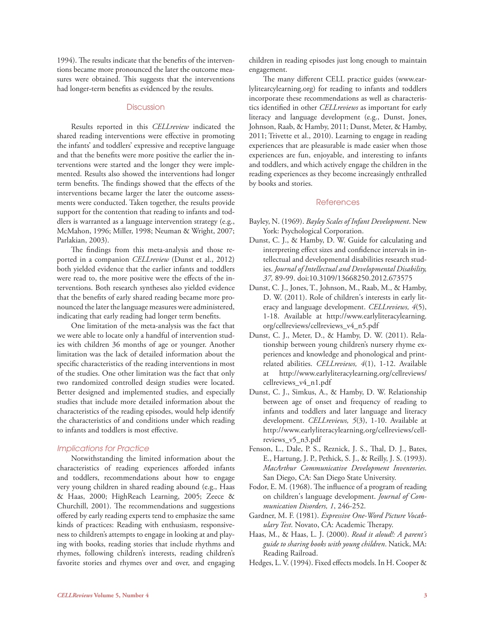1994). The results indicate that the benefits of the interventions became more pronounced the later the outcome measures were obtained. This suggests that the interventions had longer-term benefits as evidenced by the results.

#### **Discussion**

Results reported in this *CELLreview* indicated the shared reading interventions were effective in promoting the infants' and toddlers' expressive and receptive language and that the benefits were more positive the earlier the interventions were started and the longer they were implemented. Results also showed the interventions had longer term benefits. The findings showed that the effects of the interventions became larger the later the outcome assessments were conducted. Taken together, the results provide support for the contention that reading to infants and toddlers is warranted as a language intervention strategy (e.g., McMahon, 1996; Miller, 1998; Neuman & Wright, 2007; Parlakian, 2003).

The findings from this meta-analysis and those reported in a companion *CELLreview* (Dunst et al., 2012) both yielded evidence that the earlier infants and toddlers were read to, the more positive were the effects of the interventions. Both research syntheses also yielded evidence that the benefits of early shared reading became more pronounced the later the language measures were administered, indicating that early reading had longer term benefits.

One limitation of the meta-analysis was the fact that we were able to locate only a handful of intervention studies with children 36 months of age or younger. Another limitation was the lack of detailed information about the specific characteristics of the reading interventions in most of the studies. One other limitation was the fact that only two randomized controlled design studies were located. Better designed and implemented studies, and especially studies that include more detailed information about the characteristics of the reading episodes, would help identify the characteristics of and conditions under which reading to infants and toddlers is most effective.

#### *Implications for Practice*

Notwithstanding the limited information about the characteristics of reading experiences afforded infants and toddlers, recommendations about how to engage very young children in shared reading abound (e.g., Haas & Haas, 2000; HighReach Learning, 2005; Zeece & Churchill, 2001). The recommendations and suggestions offered by early reading experts tend to emphasize the same kinds of practices: Reading with enthusiasm, responsiveness to children's attempts to engage in looking at and playing with books, reading stories that include rhythms and rhymes, following children's interests, reading children's favorite stories and rhymes over and over, and engaging children in reading episodes just long enough to maintain engagement.

The many different CELL practice guides (www.earlylitearcylearning.org) for reading to infants and toddlers incorporate these recommendations as well as characteristics identified in other *CELLreviews* as important for early literacy and language development (e.g., Dunst, Jones, Johnson, Raab, & Hamby, 2011; Dunst, Meter, & Hamby, 2011; Trivette et al., 2010). Learning to engage in reading experiences that are pleasurable is made easier when those experiences are fun, enjoyable, and interesting to infants and toddlers, and which actively engage the children in the reading experiences as they become increasingly enthralled by books and stories.

#### **References**

- Bayley, N. (1969). *Bayley Scales of Infant Development*. New York: Psychological Corporation.
- Dunst, C. J., & Hamby, D. W. Guide for calculating and interpreting effect sizes and confidence intervals in intellectual and developmental disabilities research studies. *Journal of Intellectual and Developmental Disability, 37,* 89-99. doi:10.3109/13668250.2012.673575
- Dunst, C. J., Jones, T., Johnson, M., Raab, M., & Hamby, D. W. (2011). Role of children's interests in early literacy and language development. *CELLreviews, 4*(5), 1-18. Available at http://www.earlyliteracylearning. org/cellreviews/cellreviews\_v4\_n5.pdf
- Dunst, C. J., Meter, D., & Hamby, D. W. (2011). Relationship between young children's nursery rhyme experiences and knowledge and phonological and printrelated abilities. *CELLreviews, 4*(1), 1-12. Available at http://www.earlyliteracylearning.org/cellreviews/ cellreviews\_v4\_n1.pdf
- Dunst, C. J., Simkus, A., & Hamby, D. W. Relationship between age of onset and frequency of reading to infants and toddlers and later language and literacy development. *CELLreviews, 5*(3), 1-10. Available at http://www.earlyliteracylearning.org/cellreviews/cellreviews\_v5\_n3.pdf
- Fenson, L., Dale, P. S., Reznick, J. S., Thal, D. J., Bates, E., Hartung, J. P., Pethick, S. J., & Reilly, J. S. (1993). *MacArthur Communicative Development Inventories*. San Diego, CA: San Diego State University.
- Fodor, E. M. (1968). The influence of a program of reading on children's language development. *Journal of Communication Disorders, 1*, 246-252.
- Gardner, M. F. (1981). *Expressive One-Word Picture Vocabulary Test*. Novato, CA: Academic Therapy.
- Haas, M., & Haas, L. J. (2000). *Read it aloud!: A parent's guide to sharing books with young children*. Natick, MA: Reading Railroad.
- Hedges, L. V. (1994). Fixed effects models. In H. Cooper &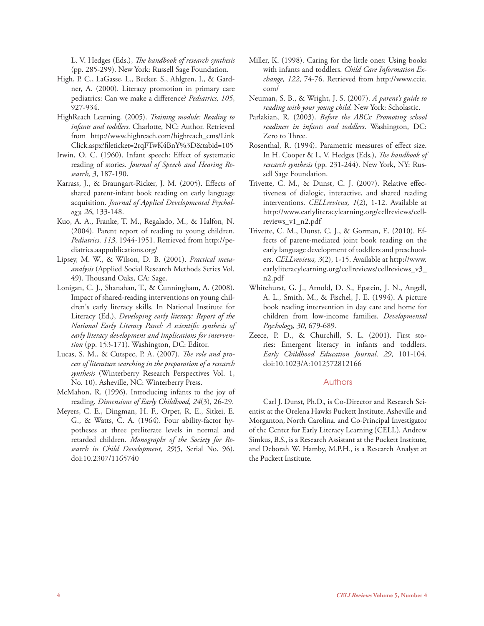L. V. Hedges (Eds.), *The handbook of research synthesis* (pp. 285-299). New York: Russell Sage Foundation.

- High, P. C., LaGasse, L., Becker, S., Ahlgren, I., & Gardner, A. (2000). Literacy promotion in primary care pediatrics: Can we make a difference? *Pediatrics, 105*, 927-934.
- HighReach Learning. (2005). *Training module: Reading to infants and toddlers*. Charlotte, NC: Author. Retrieved from http://www.highreach.com/highreach\_cms/Link Click.aspx?fileticket=2rqFTwK4BnY%3D&tabid=105
- Irwin, O. C. (1960). Infant speech: Effect of systematic reading of stories. *Journal of Speech and Hearing Research, 3*, 187-190.
- Karrass, J., & Braungart-Ricker, J. M. (2005). Effects of shared parent-infant book reading on early language acquisition. *Journal of Applied Developmental Psychology, 26*, 133-148.
- Kuo, A. A., Franke, T. M., Regalado, M., & Halfon, N. (2004). Parent report of reading to young children. *Pediatrics, 113*, 1944-1951. Retrieved from http://pediatrics.aappublications.org/
- Lipsey, M. W., & Wilson, D. B. (2001). *Practical metaanalysis* (Applied Social Research Methods Series Vol. 49). Thousand Oaks, CA: Sage.
- Lonigan, C. J., Shanahan, T., & Cunningham, A. (2008). Impact of shared-reading interventions on young children's early literacy skills. In National Institute for Literacy (Ed.), *Developing early literacy: Report of the National Early Literacy Panel: A scientific synthesis of early literacy development and implications for intervention* (pp. 153-171). Washington, DC: Editor.
- Lucas, S. M., & Cutspec, P. A. (2007). *The role and process of literature searching in the preparation of a research synthesis* (Winterberry Research Perspectives Vol. 1, No. 10). Asheville, NC: Winterberry Press.
- McMahon, R. (1996). Introducing infants to the joy of reading. *Dimensions of Early Childhood, 24*(3), 26-29.
- Meyers, C. E., Dingman, H. F., Orpet, R. E., Sitkei, E. G., & Watts, C. A. (1964). Four ability-factor hypotheses at three preliterate levels in normal and retarded children. *Monographs of the Society for Research in Child Development, 29*(5, Serial No. 96). doi:10.2307/1165740
- Miller, K. (1998). Caring for the little ones: Using books with infants and toddlers. *Child Care Information Exchange, 122*, 74-76. Retrieved from http://www.ccie. com/
- Neuman, S. B., & Wright, J. S. (2007). *A parent's guide to reading with your young child*. New York: Scholastic.
- Parlakian, R. (2003). *Before the ABCs: Promoting school readiness in infants and toddlers*. Washington, DC: Zero to Three.
- Rosenthal, R. (1994). Parametric measures of effect size. In H. Cooper & L. V. Hedges (Eds.), *The handbook of research synthesis* (pp. 231-244). New York, NY: Russell Sage Foundation.
- Trivette, C. M., & Dunst, C. J. (2007). Relative effectiveness of dialogic, interactive, and shared reading interventions. *CELLreviews, 1*(2), 1-12. Available at http://www.earlyliteracylearning.org/cellreviews/cellreviews\_v1\_n2.pdf
- Trivette, C. M., Dunst, C. J., & Gorman, E. (2010). Effects of parent-mediated joint book reading on the early language development of toddlers and preschoolers. *CELLreviews, 3*(2), 1-15. Available at http://www. earlyliteracylearning.org/cellreviews/cellreviews\_v3\_ n2.pdf
- Whitehurst, G. J., Arnold, D. S., Epstein, J. N., Angell, A. L., Smith, M., & Fischel, J. E. (1994). A picture book reading intervention in day care and home for children from low-income families. *Developmental Psychology, 30*, 679-689.
- Zeece, P. D., & Churchill, S. L. (2001). First stories: Emergent literacy in infants and toddlers. *Early Childhood Education Journal, 29*, 101-104. doi:10.1023/A:1012572812166

### Authors

Carl J. Dunst, Ph.D., is Co-Director and Research Scientist at the Orelena Hawks Puckett Institute, Asheville and Morganton, North Carolina. and Co-Principal Investigator of the Center for Early Literacy Learning (CELL). Andrew Simkus, B.S., is a Research Assistant at the Puckett Institute, and Deborah W. Hamby, M.P.H., is a Research Analyst at the Puckett Institute.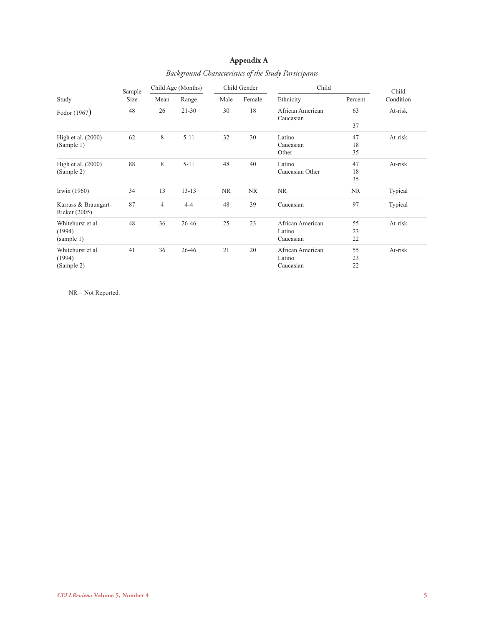| Study                | Sample<br>Size | Child Age (Months) |           | Child Gender |           | Child                         |           | Child     |
|----------------------|----------------|--------------------|-----------|--------------|-----------|-------------------------------|-----------|-----------|
|                      |                | Mean               | Range     | Male         | Female    | Ethnicity                     | Percent   | Condition |
| Fodor (1967)         | 48             | 26                 | $21 - 30$ | 30           | 18        | African American<br>Caucasian | 63        | At-risk   |
|                      |                |                    |           |              |           |                               | 37        |           |
| High et al. $(2000)$ | 62             | 8                  | $5 - 11$  | 32           | 30        | Latino                        | 47        | At-risk   |
| (Sample 1)           |                |                    |           |              |           | Caucasian                     | 18        |           |
|                      |                |                    |           |              |           | Other                         | 35        |           |
| High et al. $(2000)$ | 88             | 8                  | $5 - 11$  | 48           | 40        | Latino                        | 47        | At-risk   |
| (Sample 2)           |                |                    |           |              |           | Caucasian Other               | 18        |           |
|                      |                |                    |           |              |           |                               | 35        |           |
| Irwin (1960)         | 34             | 13                 | $13 - 13$ | <b>NR</b>    | <b>NR</b> | <b>NR</b>                     | <b>NR</b> | Typical   |
| Karrass & Braungart- | 87             | $\overline{4}$     | $4 - 4$   | 48           | 39        | Caucasian                     | 97        | Typical   |
| Rieker (2005)        |                |                    |           |              |           |                               |           |           |
| Whitehurst et al.    | 48             | 36                 | 26-46     | 25           | 23        | African American              | 55        | At-risk   |
| (1994)               |                |                    |           |              |           | Latino                        | 23        |           |
| (sample 1)           |                |                    |           |              |           | Caucasian                     | 22        |           |
| Whitehurst et al.    | 41             | 36                 | 26-46     | 21           | 20        | African American              | 55        | At-risk   |
| (1994)               |                |                    |           |              |           | Latino                        | 23        |           |
| (Sample 2)           |                |                    |           |              |           | Caucasian                     | 22        |           |

# **Appendix A** *Background Characteristics of the Study Participants*

NR = Not Reported.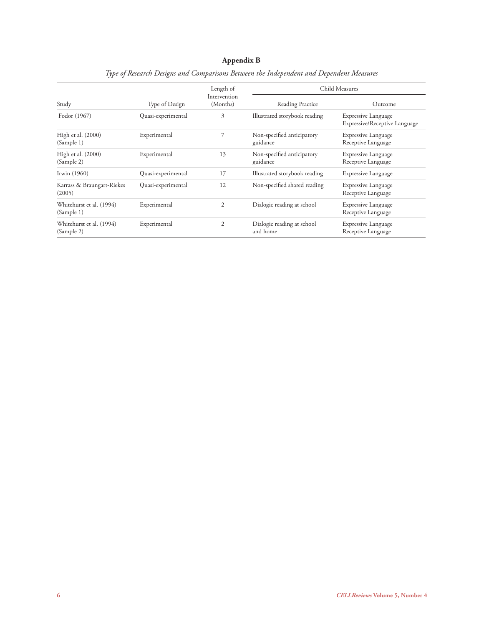# **Appendix B**

|                                        |                    | Length of                | Child Measures                         |                                                             |  |  |
|----------------------------------------|--------------------|--------------------------|----------------------------------------|-------------------------------------------------------------|--|--|
| Study                                  | Type of Design     | Intervention<br>(Months) | Reading Practice                       | Outcome                                                     |  |  |
| Fodor (1967)                           | Quasi-experimental | 3                        | Illustrated storybook reading          | <b>Expressive Language</b><br>Expressive/Receptive Language |  |  |
| High et al. (2000)<br>(Sample 1)       | Experimental       | 7                        | Non-specified anticipatory<br>guidance | <b>Expressive Language</b><br>Receptive Language            |  |  |
| High et al. (2000)<br>(Sample 2)       | Experimental       | 13                       | Non-specified anticipatory<br>guidance | <b>Expressive Language</b><br>Receptive Language            |  |  |
| Irwin $(1960)$                         | Quasi-experimental | 17                       | Illustrated storybook reading          | <b>Expressive Language</b>                                  |  |  |
| Karrass & Braungart-Riekes<br>(2005)   | Quasi-experimental | 12                       | Non-specified shared reading           | Expressive Language<br>Receptive Language                   |  |  |
| Whitehurst et al. (1994)<br>(Sample 1) | Experimental       | $\mathfrak{2}$           | Dialogic reading at school             | Expressive Language<br>Receptive Language                   |  |  |
| Whitehurst et al. (1994)<br>(Sample 2) | Experimental       | 2                        | Dialogic reading at school<br>and home | <b>Expressive Language</b><br>Receptive Language            |  |  |

# *Type of Research Designs and Comparisons Between the Independent and Dependent Measures*